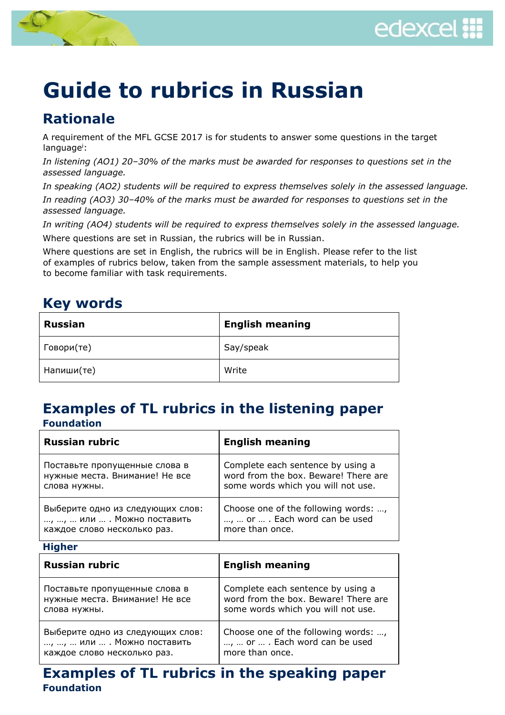



# **Guide to rubrics in Russian**

## **Rationale**

A requirement of the MFL GCSE 2017 is for students to answer some questions in the target language<sup>i</sup>:

*In listening (AO1) 20–30% of the marks must be awarded for responses to questions set in the assessed language.*

*In speaking (AO2) students will be required to express themselves solely in the assessed language.*

*In reading (AO3) 30–40% of the marks must be awarded for responses to questions set in the assessed language.*

*In writing (AO4) students will be required to express themselves solely in the assessed language.*

Where questions are set in Russian, the rubrics will be in Russian.

Where questions are set in English, the rubrics will be in English. Please refer to the list of examples of rubrics below, taken from the sample assessment materials, to help you to become familiar with task requirements.

## **Key words**

| <b>Russian</b> | <b>English meaning</b> |
|----------------|------------------------|
| Говори(те)     | Say/speak              |
| Напиши(те)     | Write                  |

#### **Examples of TL rubrics in the listening paper Foundation**

| <b>Russian rubric</b>            | <b>English meaning</b>               |  |
|----------------------------------|--------------------------------------|--|
| Поставьте пропущенные слова в    | Complete each sentence by using a    |  |
| нужные места. Внимание! Не все   | word from the box. Beware! There are |  |
| слова нужны.                     | some words which you will not use.   |  |
| Выберите одно из следующих слов: | Choose one of the following words: , |  |
| , ,  или  . Можно поставить      | ,  or  . Each word can be used       |  |
| каждое слово несколько раз.      | more than once.                      |  |

**Higher** 

| <b>Russian rubric</b>            | <b>English meaning</b>               |
|----------------------------------|--------------------------------------|
| Поставьте пропущенные слова в    | Complete each sentence by using a    |
| нужные места. Внимание! Не все   | word from the box. Beware! There are |
| слова нужны.                     | some words which you will not use.   |
| Выберите одно из следующих слов: | Choose one of the following words: , |
| , ,  или  . Можно поставить      | ,  or  . Each word can be used       |
| каждое слово несколько раз.      | more than once.                      |

## **Examples of TL rubrics in the speaking paper Foundation**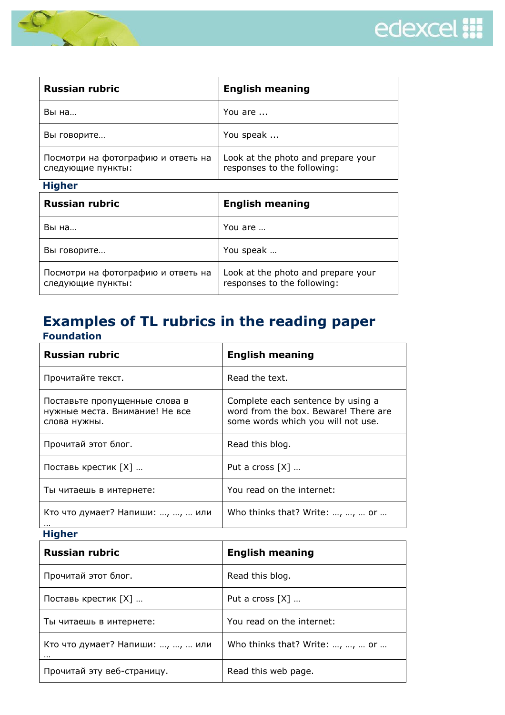



| <b>Russian rubric</b>                                   | <b>English meaning</b>                                            |  |
|---------------------------------------------------------|-------------------------------------------------------------------|--|
| Вы на                                                   | You are                                                           |  |
| Вы говорите                                             | You speak                                                         |  |
| Посмотри на фотографию и ответь на<br>следующие пункты: | Look at the photo and prepare your<br>responses to the following: |  |

| ۰. |
|----|
|----|

| <b>Russian rubric</b>                                   | <b>English meaning</b>                                            |
|---------------------------------------------------------|-------------------------------------------------------------------|
| Вы на                                                   | You are                                                           |
| Вы говорите                                             | You speak                                                         |
| Посмотри на фотографию и ответь на<br>следующие пункты: | Look at the photo and prepare your<br>responses to the following: |

#### **Examples of TL rubrics in the reading paper Foundation**

| <b>Russian rubric</b>                                                           | <b>English meaning</b>                                                                                          |
|---------------------------------------------------------------------------------|-----------------------------------------------------------------------------------------------------------------|
| Прочитайте текст.                                                               | Read the text.                                                                                                  |
| Поставьте пропущенные слова в<br>нужные места. Внимание! Не все<br>слова нужны. | Complete each sentence by using a<br>word from the box. Beware! There are<br>some words which you will not use. |
| Прочитай этот блог.                                                             | Read this blog.                                                                                                 |
| Поставь крестик [X]                                                             | Put a cross $[X]$                                                                                               |
| Ты читаешь в интернете:                                                         | You read on the internet:                                                                                       |
| Кто что думает? Напиши: , ,  или                                                | Who thinks that? Write: , ,  or                                                                                 |

**Higher** 

| <b>Russian rubric</b>                | <b>English meaning</b>          |  |
|--------------------------------------|---------------------------------|--|
| Прочитай этот блог.                  | Read this blog.                 |  |
| Поставь крестик [X]                  | Put a cross $[X]$               |  |
| Ты читаешь в интернете:              | You read on the internet:       |  |
| Кто что думает? Напиши: , ,  или<br> | Who thinks that? Write: , ,  or |  |
| Прочитай эту веб-страницу.           | Read this web page.             |  |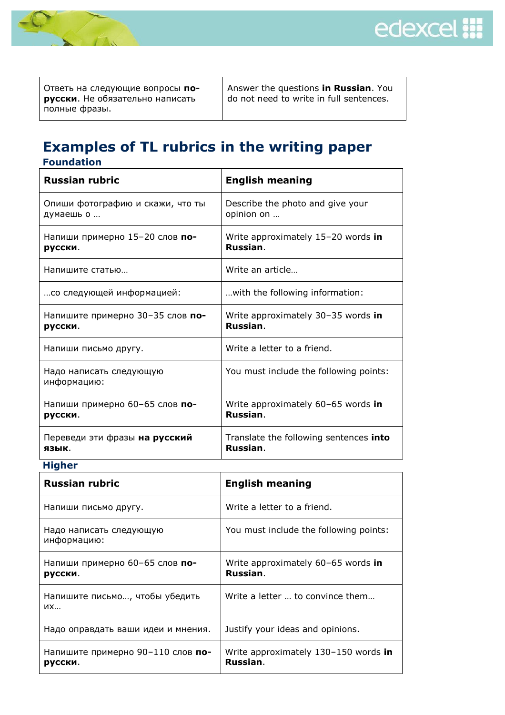



Ответь на следующие вопросы **порусски**. Не обязательно написать полные фразы.

Answer the questions **in Russian**. You do not need to write in full sentences.

### **Examples of TL rubrics in the writing paper Foundation**

| <b>Russian rubric</b>                  | <b>English meaning</b>                 |  |
|----------------------------------------|----------------------------------------|--|
| Опиши фотографию и скажи, что ты       | Describe the photo and give your       |  |
| думаешь о                              | opinion on                             |  |
| Напиши примерно 15-20 слов по-         | Write approximately 15-20 words in     |  |
| русски.                                | Russian.                               |  |
| Напишите статью                        | Write an article                       |  |
| со следующей информацией:              | with the following information:        |  |
| Напишите примерно 30-35 слов по-       | Write approximately 30-35 words in     |  |
| русски.                                | Russian.                               |  |
| Напиши письмо другу.                   | Write a letter to a friend.            |  |
| Надо написать следующую<br>информацию: | You must include the following points: |  |
| Напиши примерно 60-65 слов по-         | Write approximately 60-65 words in     |  |
| русски.                                | Russian.                               |  |
| Переведи эти фразы на русский          | Translate the following sentences into |  |
| язык.                                  | Russian.                               |  |

#### **Higher**

| <b>Russian rubric</b>                        | <b>English meaning</b>                           |  |
|----------------------------------------------|--------------------------------------------------|--|
| Напиши письмо другу.                         | Write a letter to a friend.                      |  |
| Надо написать следующую<br>информацию:       | You must include the following points:           |  |
| Напиши примерно 60-65 слов по-<br>русски.    | Write approximately 60-65 words in<br>Russian.   |  |
| Напишите письмо, чтобы убедить<br>ИХ         | Write a letter  to convince them                 |  |
| Надо оправдать ваши идеи и мнения.           | Justify your ideas and opinions.                 |  |
| Напишите примерно 90-110 слов по-<br>русски. | Write approximately 130-150 words in<br>Russian. |  |